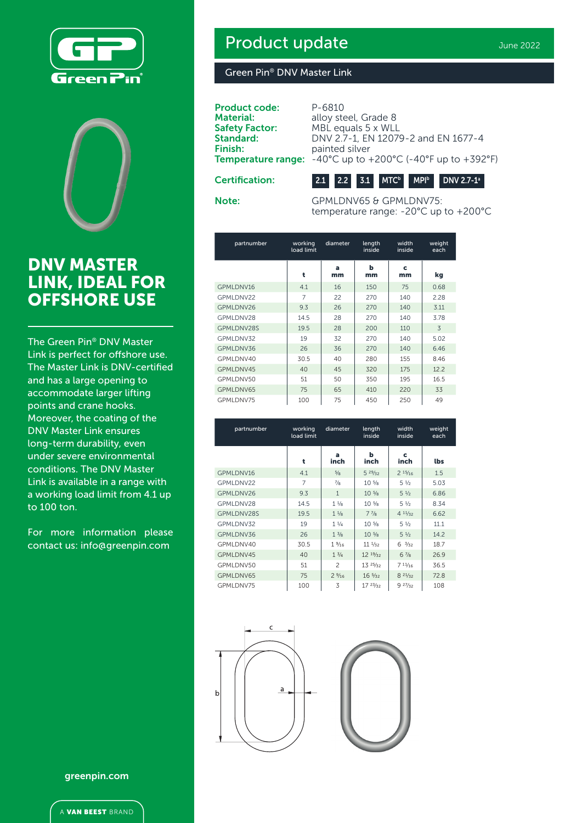



## DNV MASTER LINK, IDEAL FOR OFFSHORE USE

The Green Pin® DNV Master Link is perfect for offshore use. The Master Link is DNV-certified and has a large opening to accommodate larger lifting points and crane hooks. Moreover, the coating of the DNV Master Link ensures long-term durability, even under severe environmental conditions. The DNV Master Link is available in a range with a working load limit from 4.1 up to 100 ton.

For more information please contact us: info@greenpin.com

# Product update

#### Green Pin® DNV Master Link

Product code: P-6810 **Material: Safety Factor:** Standard: Finish: Temperature r

| ı. | P-6810                                                                                         |
|----|------------------------------------------------------------------------------------------------|
|    | alloy steel, Grade 8                                                                           |
|    | MBL equals 5 x WLL                                                                             |
|    | DNV 2.7-1, EN 12079-2 and EN 1677-4                                                            |
|    | painted silver                                                                                 |
|    | <b>range:</b> $-40^{\circ}$ C up to $+200^{\circ}$ C ( $-40^{\circ}$ F up to $+392^{\circ}$ F) |
|    |                                                                                                |

Certification:



Note: GPMLDNV65 & GPMLDNV75: temperature range: -20°C up to +200°C

| partnumber | working<br>load limit | length<br>diameter<br>inside |         | width<br>inside | weight<br>each |
|------------|-----------------------|------------------------------|---------|-----------------|----------------|
|            | t                     | a<br>mm                      | ь<br>mm | c<br>mm         | kg             |
| GPMLDNV16  | 4.1                   | 16                           | 150     | 75              | 0.68           |
| GPMLDNV22  | 7                     | 22                           | 270     | 140             | 2.28           |
| GPMLDNV26  | 9.3                   | 26                           | 270     | 140             | 3.11           |
| GPMLDNV28  | 14.5                  | 28                           | 270     | 140             | 3.78           |
| GPMLDNV28S | 19.5                  | 28                           | 200     | 110             | 3              |
| GPMLDNV32  | 19                    | 32                           | 270     | 140             | 5.02           |
| GPMLDNV36  | 26                    | 36                           | 270     | 140             | 6.46           |
| GPMLDNV40  | 30.5                  | 40                           | 280     | 155             | 8.46           |
| GPMLDNV45  | 40                    | 45                           | 320     | 175             | 12.2           |
| GPMLDNV50  | 51                    | 50                           | 350     | 195             | 16.5           |
| GPMLDNV65  | 75                    | 65                           | 410     | 220             | 33             |
| GPMLDNV75  | 100                   | 75                           | 450     | 250             | 49             |

| partnumber | working<br>load limit | diameter        |                                | width<br>inside | weight<br>each |
|------------|-----------------------|-----------------|--------------------------------|-----------------|----------------|
|            | t                     | a<br>inch       | ь<br>inch                      | c<br>inch       | lbs            |
| GPMLDNV16  | 4.1                   | 5/8             | 529/32                         | 215/16          | 1.5            |
| GPMLDNV22  | $\overline{7}$        | $^{7}/8$        | 10 <sup>5</sup> / <sub>8</sub> | $5\frac{1}{2}$  | 5.03           |
| GPMLDNV26  | 9.3                   | $\mathbf{1}$    | 10 <sup>5</sup> / <sub>8</sub> | $5\frac{1}{2}$  | 6.86           |
| GPMLDNV28  | 14.5                  | $1\frac{1}{8}$  | 10 <sup>5</sup> / <sub>8</sub> | $5\frac{1}{2}$  | 8.34           |
| GPMLDNV28S | 19.5                  | $1 \frac{1}{8}$ | 77/8                           | 41/32           | 6.62           |
| GPMLDNV32  | 19                    | $1 \frac{1}{4}$ | 10 <sup>5</sup> / <sub>8</sub> | $5\frac{1}{2}$  | 11.1           |
| GPMLDNV36  | 26                    | $1 \frac{3}{8}$ | 10 <sup>5</sup> /8             | $5\frac{1}{2}$  | 14.2           |
| GPMLDNV40  | 30.5                  | $1\frac{9}{16}$ | $11 \frac{1}{32}$              | $6\frac{3}{32}$ | 18.7           |
| GPMLDNV45  | 40                    | $1 \frac{3}{4}$ | $12^{19/32}$                   | 67/8            | 26.9           |
| GPMLDNV50  | 51                    | $\overline{c}$  | 1.325/z <sub>2</sub>           | 711/16          | 36.5           |
| GPMLDNV65  | 75                    | 29/16           | $16\frac{5}{32}$               | 821/32          | 72.8           |
| GPMLDNV75  | 100                   | 3               | 1723/z                         | 927/32          | 108            |



greenpin.com